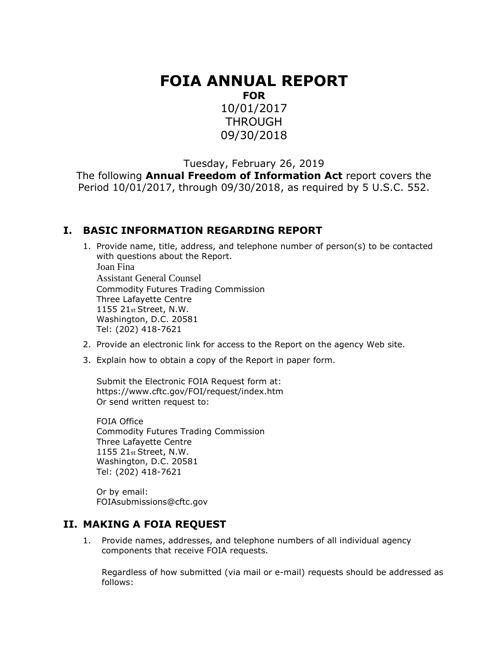# **FOIA ANNUAL REPORT**

**FOR**

10/01/2017 **THROUGH** 09/30/2018

Tuesday, February 26, 2019

The following **Annual Freedom of Information Act** report covers the Period 10/01/2017, through 09/30/2018, as required by 5 U.S.C. 552.

#### **I. BASIC INFORMATION REGARDING REPORT**

- 1. Provide name, title, address, and telephone number of person(s) to be contacted with questions about the Report. Joan Fina Assistant General Counsel Commodity Futures Trading Commission Three Lafayette Centre 1155 21st Street, N.W. Washington, D.C. 20581 Tel: (202) 418-7621
- 2. Provide an electronic link for access to the Report on the agency Web site.
- 3. Explain how to obtain a copy of the Report in paper form.

Submit the Electronic FOIA Request form at: https://www.cftc.gov/FOI/request/index.htm Or send written request to:

FOIA Office Commodity Futures Trading Commission Three Lafayette Centre 1155 21st Street, N.W. Washington, D.C. 20581 Tel: (202) 418-7621

Or by email: FOIAsubmissions@cftc.gov

#### **II. MAKING A FOIA REQUEST**

1. Provide names, addresses, and telephone numbers of all individual agency components that receive FOIA requests.

Regardless of how submitted (via mail or e-mail) requests should be addressed as follows: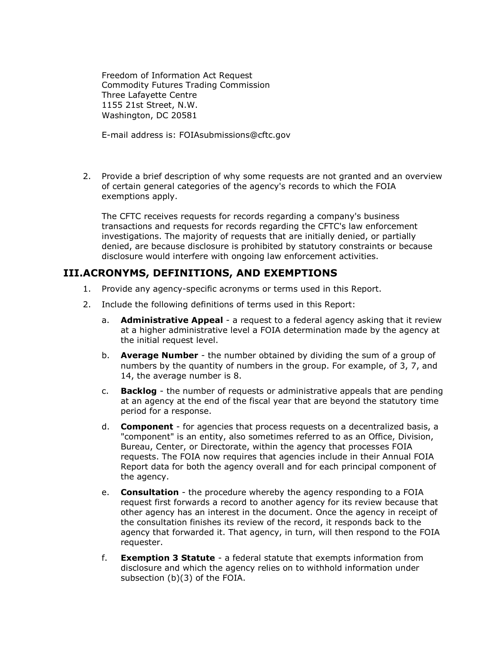Freedom of Information Act Request Commodity Futures Trading Commission Three Lafayette Centre 1155 21st Street, N.W. Washington, DC 20581

E-mail address is: FOIAsubmissions@cftc.gov

2. Provide a brief description of why some requests are not granted and an overview of certain general categories of the agency's records to which the FOIA exemptions apply.

The CFTC receives requests for records regarding a company's business transactions and requests for records regarding the CFTC's law enforcement investigations. The majority of requests that are initially denied, or partially denied, are because disclosure is prohibited by statutory constraints or because disclosure would interfere with ongoing law enforcement activities.

#### **III.ACRONYMS, DEFINITIONS, AND EXEMPTIONS**

- 1. Provide any agency-specific acronyms or terms used in this Report.
- 2. Include the following definitions of terms used in this Report:
	- a. **Administrative Appeal** a request to a federal agency asking that it review at a higher administrative level a FOIA determination made by the agency at the initial request level.
	- b. **Average Number** the number obtained by dividing the sum of a group of numbers by the quantity of numbers in the group. For example, of 3, 7, and 14, the average number is 8.
	- c. **Backlog** the number of requests or administrative appeals that are pending at an agency at the end of the fiscal year that are beyond the statutory time period for a response.
	- d. **Component** for agencies that process requests on a decentralized basis, a "component" is an entity, also sometimes referred to as an Office, Division, Bureau, Center, or Directorate, within the agency that processes FOIA requests. The FOIA now requires that agencies include in their Annual FOIA Report data for both the agency overall and for each principal component of the agency.
	- e. **Consultation** the procedure whereby the agency responding to a FOIA request first forwards a record to another agency for its review because that other agency has an interest in the document. Once the agency in receipt of the consultation finishes its review of the record, it responds back to the agency that forwarded it. That agency, in turn, will then respond to the FOIA requester.
	- f. **Exemption 3 Statute** a federal statute that exempts information from disclosure and which the agency relies on to withhold information under subsection (b)(3) of the FOIA.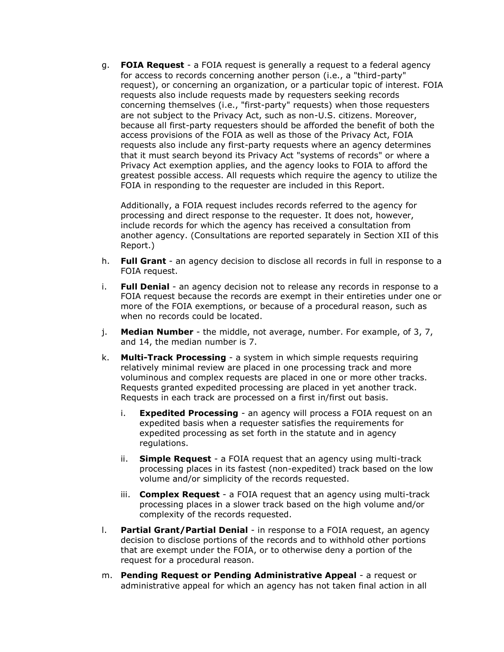g. **FOIA Request** - a FOIA request is generally a request to a federal agency for access to records concerning another person (i.e., a "third-party" request), or concerning an organization, or a particular topic of interest. FOIA requests also include requests made by requesters seeking records concerning themselves (i.e., "first-party" requests) when those requesters are not subject to the Privacy Act, such as non-U.S. citizens. Moreover, because all first-party requesters should be afforded the benefit of both the access provisions of the FOIA as well as those of the Privacy Act, FOIA requests also include any first-party requests where an agency determines that it must search beyond its Privacy Act "systems of records" or where a Privacy Act exemption applies, and the agency looks to FOIA to afford the greatest possible access. All requests which require the agency to utilize the FOIA in responding to the requester are included in this Report.

Additionally, a FOIA request includes records referred to the agency for processing and direct response to the requester. It does not, however, include records for which the agency has received a consultation from another agency. (Consultations are reported separately in Section XII of this Report.)

- h. **Full Grant** an agency decision to disclose all records in full in response to a FOIA request.
- i. **Full Denial** an agency decision not to release any records in response to a FOIA request because the records are exempt in their entireties under one or more of the FOIA exemptions, or because of a procedural reason, such as when no records could be located.
- j. **Median Number** the middle, not average, number. For example, of 3, 7, and 14, the median number is 7.
- k. **Multi-Track Processing** a system in which simple requests requiring relatively minimal review are placed in one processing track and more voluminous and complex requests are placed in one or more other tracks. Requests granted expedited processing are placed in yet another track. Requests in each track are processed on a first in/first out basis.
	- i. **Expedited Processing** an agency will process a FOIA request on an expedited basis when a requester satisfies the requirements for expedited processing as set forth in the statute and in agency regulations.
	- ii. **Simple Request** a FOIA request that an agency using multi-track processing places in its fastest (non-expedited) track based on the low volume and/or simplicity of the records requested.
	- iii. **Complex Request** a FOIA request that an agency using multi-track processing places in a slower track based on the high volume and/or complexity of the records requested.
- l. **Partial Grant/Partial Denial** in response to a FOIA request, an agency decision to disclose portions of the records and to withhold other portions that are exempt under the FOIA, or to otherwise deny a portion of the request for a procedural reason.
- m. **Pending Request or Pending Administrative Appeal** a request or administrative appeal for which an agency has not taken final action in all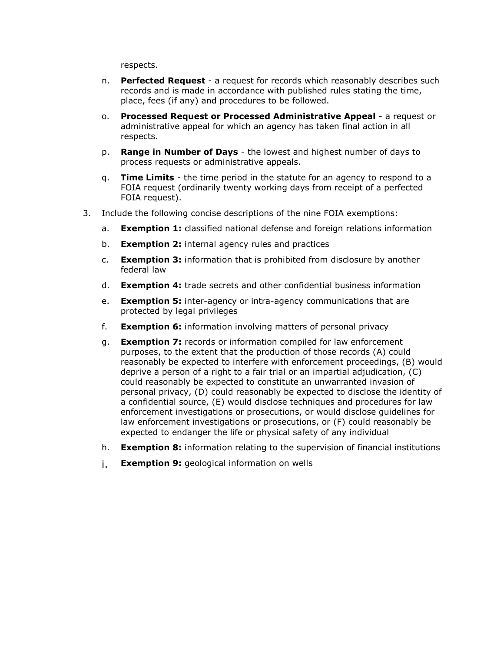respects.

- n. **Perfected Request**  a request for records which reasonably describes such records and is made in accordance with published rules stating the time, place, fees (if any) and procedures to be followed.
- o. **Processed Request or Processed Administrative Appeal**  a request or administrative appeal for which an agency has taken final action in all respects.
- p. **Range in Number of Days** the lowest and highest number of days to process requests or administrative appeals.
- q. **Time Limits** the time period in the statute for an agency to respond to a FOIA request (ordinarily twenty working days from receipt of a perfected FOIA request).
- 3. Include the following concise descriptions of the nine FOIA exemptions:
	- a. **Exemption 1:** classified national defense and foreign relations information
	- b. **Exemption 2:** internal agency rules and practices
	- c. **Exemption 3:** information that is prohibited from disclosure by another federal law
	- d. **Exemption 4:** trade secrets and other confidential business information
	- e. **Exemption 5:** inter-agency or intra-agency communications that are protected by legal privileges
	- f. **Exemption 6:** information involving matters of personal privacy
	- g. **Exemption 7:** records or information compiled for law enforcement purposes, to the extent that the production of those records (A) could reasonably be expected to interfere with enforcement proceedings, (B) would deprive a person of a right to a fair trial or an impartial adjudication, (C) could reasonably be expected to constitute an unwarranted invasion of personal privacy, (D) could reasonably be expected to disclose the identity of a confidential source, (E) would disclose techniques and procedures for law enforcement investigations or prosecutions, or would disclose guidelines for law enforcement investigations or prosecutions, or (F) could reasonably be expected to endanger the life or physical safety of any individual
	- h. **Exemption 8:** information relating to the supervision of financial institutions
	- i. **Exemption 9:** geological information on wells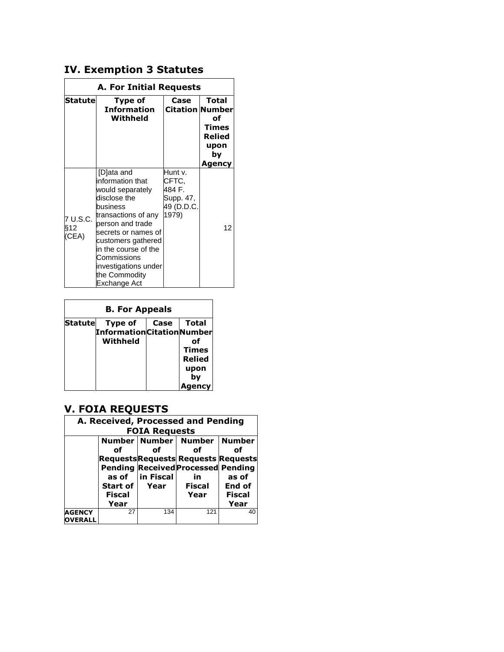## **IV. Exemption 3 Statutes**

| A. For Initial Requests  |                                                                                                                                                                                                                                                                        |                                                                |                                                                                  |  |  |  |  |  |  |  |
|--------------------------|------------------------------------------------------------------------------------------------------------------------------------------------------------------------------------------------------------------------------------------------------------------------|----------------------------------------------------------------|----------------------------------------------------------------------------------|--|--|--|--|--|--|--|
| Statutel                 | Type of<br><b>Information</b><br>Withheld                                                                                                                                                                                                                              | Case                                                           | Total<br><b>Citation Number</b><br>of<br>Times<br>Relied<br>upon<br>by<br>Agency |  |  |  |  |  |  |  |
| 7 U.S.C.<br>§12<br>(CEA) | [D]ata and<br>information that<br>would separately<br>disclose the<br>business<br>transactions of any<br>person and trade<br>secrets or names of<br>customers gathered<br>in the course of the<br>Commissions<br>investigations under<br>the Commodity<br>Exchange Act | Hunt v.<br>CFTC.<br>484 F.<br>Supp. 47,<br>49 (D.D.C.<br>1979) | 12                                                                               |  |  |  |  |  |  |  |

| <b>B. For Appeals</b> |                                    |      |               |  |  |  |  |  |  |  |
|-----------------------|------------------------------------|------|---------------|--|--|--|--|--|--|--|
| <b>Statute</b>        | Type of                            | Case | <b>Total</b>  |  |  |  |  |  |  |  |
|                       | <b>Information Citation Number</b> |      |               |  |  |  |  |  |  |  |
|                       | Withheld                           |      | nf            |  |  |  |  |  |  |  |
|                       |                                    |      | <b>Times</b>  |  |  |  |  |  |  |  |
|                       |                                    |      | <b>Relied</b> |  |  |  |  |  |  |  |
|                       |                                    |      | upon          |  |  |  |  |  |  |  |
|                       |                                    |      | by            |  |  |  |  |  |  |  |
|                       |                                    |      | encv          |  |  |  |  |  |  |  |

## **V. FOIA REQUESTS**

|                                 | A. Received, Processed and Pending<br><b>FOIA Requests</b> |                 |                                                                                               |               |  |  |  |  |  |  |  |  |
|---------------------------------|------------------------------------------------------------|-----------------|-----------------------------------------------------------------------------------------------|---------------|--|--|--|--|--|--|--|--|
|                                 |                                                            |                 | Number   Number   Number   Number                                                             |               |  |  |  |  |  |  |  |  |
|                                 | οf                                                         | Ωf              | οf                                                                                            | of            |  |  |  |  |  |  |  |  |
|                                 |                                                            | as of in Fiscal | <b>Requests Requests Requests Requests</b><br><b>Pending Received Processed Pending</b><br>in | as of         |  |  |  |  |  |  |  |  |
|                                 | Start of I                                                 | Year            | <b>Fiscal</b>                                                                                 | End of        |  |  |  |  |  |  |  |  |
|                                 | <b>Fiscal</b>                                              |                 | Year                                                                                          | <b>Fiscal</b> |  |  |  |  |  |  |  |  |
|                                 | Year                                                       |                 |                                                                                               | Year          |  |  |  |  |  |  |  |  |
| <b>AGENCY</b><br><b>OVERALL</b> | 27                                                         | 134             | 121                                                                                           | 40            |  |  |  |  |  |  |  |  |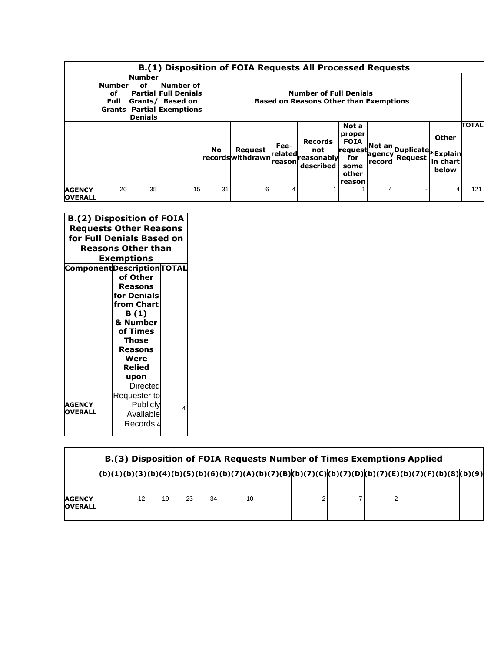|                                 |                                              |                                                  | B.(1) Disposition of FOIA Requests All Processed Requests                                |           |                                      |                             |                                                                                |                                                                             |        |                                                                             |                            |       |
|---------------------------------|----------------------------------------------|--------------------------------------------------|------------------------------------------------------------------------------------------|-----------|--------------------------------------|-----------------------------|--------------------------------------------------------------------------------|-----------------------------------------------------------------------------|--------|-----------------------------------------------------------------------------|----------------------------|-------|
|                                 | <b>Number</b><br>of<br>Full<br><b>Grants</b> | <b>Number</b><br>of<br>Grants/<br><b>Denials</b> | Number of<br><b>Partial Full Denials</b><br><b>Based on</b><br><b>Partial Exemptions</b> |           |                                      |                             | <b>Number of Full Denials</b><br><b>Based on Reasons Other than Exemptions</b> |                                                                             |        |                                                                             |                            |       |
|                                 |                                              |                                                  |                                                                                          | <b>No</b> | <b>Request</b><br> records withdrawn | Fee-<br>related<br>lreasonl | <b>Records</b><br>not<br>'reasonablvl<br>described                             | Not a<br>proper<br><b>FOIA</b><br>request<br>for<br>some<br>other<br>reason | record | <sub>-∗</sub>  Not an  <sub>Duplicate *Explain<sup> </sup></sub><br>Reauest | Other<br>in chart<br>below | TOTAL |
| <b>AGENCY</b><br><b>OVERALL</b> | 20                                           | 35                                               | 15                                                                                       | 31        | 6                                    | 4                           |                                                                                |                                                                             | 4      |                                                                             | 4                          | 121   |

| <b>B.(2) Disposition of FOIA</b><br><b>Requests Other Reasons</b><br>for Full Denials Based on<br><b>Reasons Other than</b><br>Exemptions<br><b>Component Description TOTAL</b> |                                                                                                                                       |   |  |  |  |  |  |
|---------------------------------------------------------------------------------------------------------------------------------------------------------------------------------|---------------------------------------------------------------------------------------------------------------------------------------|---|--|--|--|--|--|
|                                                                                                                                                                                 | of Other<br>Reasons<br>for Denials<br>from Chart<br>B(1)<br>& Number<br>of Times<br><b>Those</b><br>Reasons<br>Were<br>Relied<br>upon |   |  |  |  |  |  |
| <b>AGENCY</b><br><b>OVERALL</b>                                                                                                                                                 | Directed<br>Requester to<br>Publicly<br>Available<br>Records 4                                                                        | 4 |  |  |  |  |  |

|                                 | B.(3) Disposition of FOIA Requests Number of Times Exemptions Applied |  |                 |    |    |    |                                                                                                                 |  |  |  |  |  |  |
|---------------------------------|-----------------------------------------------------------------------|--|-----------------|----|----|----|-----------------------------------------------------------------------------------------------------------------|--|--|--|--|--|--|
|                                 |                                                                       |  |                 |    |    |    | $ (b)(1) (b)(3) (b)(4) (b)(5) (b)(6) (b)(7)(A) (b)(7)(8) (b)(7)(C) (b)(7)(D) (b)(7)(E) (b)(7)(F) (b)(8) (b)(9)$ |  |  |  |  |  |  |
| <b>AGENCY</b><br><b>OVERALL</b> |                                                                       |  | 19 <sup>1</sup> | 23 | 34 | 10 |                                                                                                                 |  |  |  |  |  |  |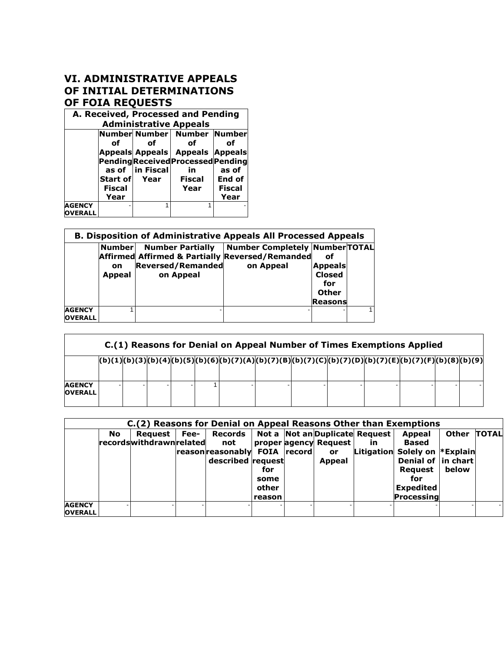#### **VI. ADMINISTRATIVE APPEALS OF INITIAL DETERMINATIONS OF FOIA REQUESTS**

|                                 | A. Received, Processed and Pending |                  |                                           |               |  |  |  |  |  |  |  |  |
|---------------------------------|------------------------------------|------------------|-------------------------------------------|---------------|--|--|--|--|--|--|--|--|
|                                 | <b>Administrative Appeals</b>      |                  |                                           |               |  |  |  |  |  |  |  |  |
|                                 | Number Number Number Number        |                  |                                           |               |  |  |  |  |  |  |  |  |
|                                 | οf                                 | Ωf               | Ωf                                        | οf            |  |  |  |  |  |  |  |  |
|                                 |                                    |                  | Appeals Appeals   Appeals   Appeals       |               |  |  |  |  |  |  |  |  |
|                                 |                                    |                  | <b>Pending Received Processed Pending</b> |               |  |  |  |  |  |  |  |  |
|                                 |                                    | as of  in Fiscal | in                                        | as of         |  |  |  |  |  |  |  |  |
|                                 | Start of Year                      |                  | <b>Fiscal</b>                             | End of        |  |  |  |  |  |  |  |  |
|                                 | Fiscal                             |                  | Year                                      | <b>Fiscal</b> |  |  |  |  |  |  |  |  |
|                                 | Year                               |                  |                                           | Year          |  |  |  |  |  |  |  |  |
| <b>AGENCY</b><br><b>OVERALL</b> |                                    | 1                |                                           |               |  |  |  |  |  |  |  |  |

|                                 |                               |                                                                  | <b>B. Disposition of Administrative Appeals All Processed Appeals</b>                                 |                                                                         |  |
|---------------------------------|-------------------------------|------------------------------------------------------------------|-------------------------------------------------------------------------------------------------------|-------------------------------------------------------------------------|--|
|                                 | <b>Number</b><br>on<br>Appeal | <b>Number Partially</b><br><b>Reversed/Remanded</b><br>on Appeal | <b>Number Completely Number TOTAL</b><br>Affirmed Affirmed & Partially Reversed/Remanded<br>on Appeal | οf<br><b>Appeals</b><br><b>Closed</b><br>for<br><b>Other</b><br>Reasons |  |
| <b>AGENCY</b><br><b>OVERALL</b> |                               |                                                                  |                                                                                                       |                                                                         |  |

|                                 | C.(1) Reasons for Denial on Appeal Number of Times Exemptions Applied |  |  |  |  |  |                                                                                                                  |  |  |  |  |  |  |
|---------------------------------|-----------------------------------------------------------------------|--|--|--|--|--|------------------------------------------------------------------------------------------------------------------|--|--|--|--|--|--|
|                                 |                                                                       |  |  |  |  |  | $ (b)(1) (b)(3) (b)(4) (b)(5) (b)(6) (b)(7)(A) (b)(7)(8) (b)(7)(C) (b)(7)(D) (b)(7)(E) (b)(7)(F) (b)(8) (b)(9) $ |  |  |  |  |  |  |
| <b>AGENCY</b><br><b>OVERALL</b> |                                                                       |  |  |  |  |  |                                                                                                                  |  |  |  |  |  |  |

|                                 |           |                                            |      | C.(2) Reasons for Denial on Appeal Reasons Other than Exemptions                                        |                                |                                                     |     |                                                                                                                                          |                |                          |
|---------------------------------|-----------|--------------------------------------------|------|---------------------------------------------------------------------------------------------------------|--------------------------------|-----------------------------------------------------|-----|------------------------------------------------------------------------------------------------------------------------------------------|----------------|--------------------------|
|                                 | <b>No</b> | Reauest<br><b>recordswithdrawn related</b> | Fee- | Records   Not a   Not an Duplicate Request<br>not<br>reason reasonably FOIA record<br>described request | for<br>some<br>other<br>reason | proper agency Request<br><b>or</b><br><b>Appeal</b> | in. | Appeal<br><b>Based</b><br>Litigation Solely on *Explain<br>Denial of in chart<br>Request<br>for<br><b>Expedited</b><br><b>Processing</b> | Other<br>below | <b>TOTAL</b>             |
| <b>AGENCY</b><br><b>OVERALL</b> |           |                                            |      |                                                                                                         |                                |                                                     |     |                                                                                                                                          |                | $\overline{\phantom{a}}$ |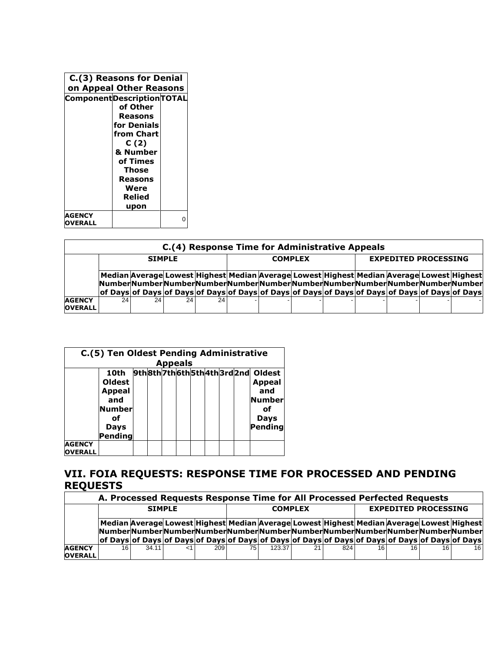|                        | C.(3) Reasons for Denial<br>on Appeal Other Reasons<br><b>Component Description TOTAL</b> |   |
|------------------------|-------------------------------------------------------------------------------------------|---|
|                        | of Other<br>Reasons<br>for Denials                                                        |   |
|                        | from Chart<br>C (2)                                                                       |   |
|                        | & Number<br>of Times<br>Those                                                             |   |
|                        | Reasons<br>Were<br>Relied                                                                 |   |
|                        | upon                                                                                      |   |
| <b>AGENCY</b><br>ERALL |                                                                                           | ŋ |

|                                 | C.(4) Response Time for Administrative Appeals |    |               |    |                |                                                                                                                                                                                                                                                                                        |  |  |                             |  |  |  |  |
|---------------------------------|------------------------------------------------|----|---------------|----|----------------|----------------------------------------------------------------------------------------------------------------------------------------------------------------------------------------------------------------------------------------------------------------------------------------|--|--|-----------------------------|--|--|--|--|
|                                 |                                                |    | <b>SIMPLE</b> |    | <b>COMPLEX</b> |                                                                                                                                                                                                                                                                                        |  |  | <b>EXPEDITED PROCESSING</b> |  |  |  |  |
|                                 |                                                |    |               |    |                | Median Average Lowest Highest Median Average Lowest Highest Median Average Lowest Highest<br>NumberNumberNumberNumberNumberNumberNumberNumberNumberNumberNumberNumberNumber<br>of Days of Days of Days of Days of Days of Days of Days of Days of Days of Days of Days of Days of Days |  |  |                             |  |  |  |  |
| <b>AGENCY</b><br><b>OVERALL</b> | 24 <sub>1</sub>                                | 24 | 24            | 24 |                |                                                                                                                                                                                                                                                                                        |  |  |                             |  |  |  |  |

|                                 | C.(5) Ten Oldest Pending Administrative |  |  |  |                |  |  |  |  |                                 |
|---------------------------------|-----------------------------------------|--|--|--|----------------|--|--|--|--|---------------------------------|
|                                 |                                         |  |  |  | <b>Appeals</b> |  |  |  |  |                                 |
|                                 | 10th                                    |  |  |  |                |  |  |  |  | 9th8th7th6th5th4th3rd2nd Oldest |
|                                 | Oldest                                  |  |  |  |                |  |  |  |  | <b>Appeal</b>                   |
|                                 | <b>Appeal</b>                           |  |  |  |                |  |  |  |  | and                             |
|                                 | and                                     |  |  |  |                |  |  |  |  | <b>Number</b>                   |
|                                 | Number                                  |  |  |  |                |  |  |  |  | οf                              |
|                                 | οf                                      |  |  |  |                |  |  |  |  | Days                            |
|                                 | Days                                    |  |  |  |                |  |  |  |  | Pending                         |
|                                 | Pending                                 |  |  |  |                |  |  |  |  |                                 |
| <b>AGENCY</b><br><b>OVERALL</b> |                                         |  |  |  |                |  |  |  |  |                                 |

## **VII. FOIA REQUESTS: RESPONSE TIME FOR PROCESSED AND PENDING REQUESTS**

|                | A. Processed Requests Response Time for All Processed Perfected Requests |                                                                                                                                                                             |  |                |    |        |    |                             |    |     |    |                 |
|----------------|--------------------------------------------------------------------------|-----------------------------------------------------------------------------------------------------------------------------------------------------------------------------|--|----------------|----|--------|----|-----------------------------|----|-----|----|-----------------|
|                | <b>SIMPLE</b>                                                            |                                                                                                                                                                             |  | <b>COMPLEX</b> |    |        |    | <b>EXPEDITED PROCESSING</b> |    |     |    |                 |
|                |                                                                          | Median Average Lowest Highest Median Average Lowest Highest Median Average Lowest Highest<br>NumberNumberNumberNumberNumberNumberNumberNumberNumberNumberNumberNumberNumber |  |                |    |        |    |                             |    |     |    |                 |
|                |                                                                          | of Days of Days of Days of Days of Days of Days of Days of Days of Days of Days of Days of Days of Days                                                                     |  |                |    |        |    |                             |    |     |    |                 |
| <b>AGENCY</b>  | 161                                                                      | 34.11                                                                                                                                                                       |  | 209            | 75 | 123.37 | 21 | 824                         | 16 | 16. | 16 | 16 <sup>1</sup> |
| <b>OVERALL</b> |                                                                          |                                                                                                                                                                             |  |                |    |        |    |                             |    |     |    |                 |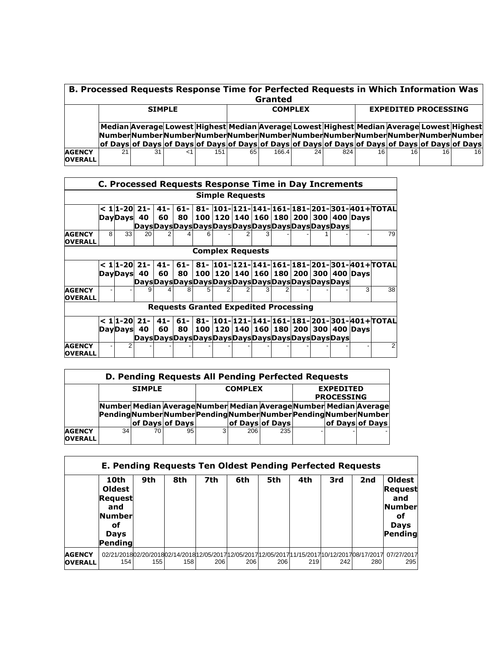|                                 | B. Processed Requests Response Time for Perfected Requests in Which Information Was<br>Granted |    |               |     |    |                |    |     |    |                                                                                                                                                                                                                                                                                         |    |                 |
|---------------------------------|------------------------------------------------------------------------------------------------|----|---------------|-----|----|----------------|----|-----|----|-----------------------------------------------------------------------------------------------------------------------------------------------------------------------------------------------------------------------------------------------------------------------------------------|----|-----------------|
|                                 |                                                                                                |    | <b>SIMPLE</b> |     |    | <b>COMPLEX</b> |    |     |    | <b>EXPEDITED PROCESSING</b>                                                                                                                                                                                                                                                             |    |                 |
|                                 |                                                                                                |    |               |     |    |                |    |     |    | Median Average Lowest Highest Median Average Lowest Highest Median Average Lowest Highest<br>NumberNumberNumberNumberNumberNumberNumberNumberNumberNumberNumberNumberNumber<br> of Days of Days of Days of Days of Days of Days of Days of Days of Days of Days of Days of Days of Days |    |                 |
| <b>AGENCY</b><br><b>OVERALL</b> | 21                                                                                             | 31 | -1            | 151 | 65 | 166.4          | 24 | 824 | 16 | 16                                                                                                                                                                                                                                                                                      | 16 | 16 <sup>1</sup> |

|                                 |                                              | C. Processed Requests Response Time in Day Increments |              |              |              |  |                         |  |  |  |  |  |                                                      |                                                    |
|---------------------------------|----------------------------------------------|-------------------------------------------------------|--------------|--------------|--------------|--|-------------------------|--|--|--|--|--|------------------------------------------------------|----------------------------------------------------|
|                                 | <b>Simple Requests</b>                       |                                                       |              |              |              |  |                         |  |  |  |  |  |                                                      |                                                    |
|                                 |                                              | $< 11 - 20$<br><b>DayDays</b>                         | $21 -$<br>40 | $41 -$<br>60 | $61 -$<br>80 |  |                         |  |  |  |  |  | 100   120   140   160   180   200   300   400   Days | 81- 101- 121- 141- 161- 181- 201- 301- 401 + TOTAL |
|                                 |                                              |                                                       |              |              |              |  |                         |  |  |  |  |  |                                                      |                                                    |
| <b>AGENCY</b><br><b>OVERALL</b> | 8                                            | 33 <sup>1</sup>                                       | 20           |              |              |  |                         |  |  |  |  |  |                                                      | 79                                                 |
|                                 |                                              |                                                       |              |              |              |  | <b>Complex Requests</b> |  |  |  |  |  |                                                      |                                                    |
|                                 |                                              | $< 1$  1-20  21-                                      |              | $41 -$       | $61 -$       |  |                         |  |  |  |  |  |                                                      | 81- 101- 121- 141- 161- 181- 201- 301- 401+ TOTAL  |
|                                 |                                              | DayDays                                               | 40           | 60           | 80           |  |                         |  |  |  |  |  | 100   120   140   160   180   200   300   400   Days |                                                    |
|                                 |                                              |                                                       |              |              |              |  |                         |  |  |  |  |  |                                                      |                                                    |
| <b>AGENCY</b><br><b>OVERALL</b> |                                              |                                                       | 9            |              |              |  |                         |  |  |  |  |  | 3                                                    | 38                                                 |
|                                 | <b>Requests Granted Expedited Processing</b> |                                                       |              |              |              |  |                         |  |  |  |  |  |                                                      |                                                    |
|                                 |                                              | $< 1$  1-20  21-                                      |              | $41 -$       | $61 -$       |  |                         |  |  |  |  |  |                                                      | 81- 101- 121- 141- 161- 181- 201- 301- 401+ TOTAL  |
|                                 |                                              | DayDays                                               | 40           | 60           | 80           |  |                         |  |  |  |  |  | 100   120   140   160   180   200   300   400   Days |                                                    |
|                                 |                                              |                                                       |              |              |              |  |                         |  |  |  |  |  |                                                      |                                                    |
| <b>AGENCY</b><br><b>OVERALL</b> |                                              | 2                                                     |              |              |              |  |                         |  |  |  |  |  |                                                      |                                                    |

|                                 | D. Pending Requests All Pending Perfected Requests                                                                                                |    |    |   |                |                        |                                       |  |                 |  |  |
|---------------------------------|---------------------------------------------------------------------------------------------------------------------------------------------------|----|----|---|----------------|------------------------|---------------------------------------|--|-----------------|--|--|
|                                 | <b>SIMPLE</b>                                                                                                                                     |    |    |   | <b>COMPLEX</b> |                        | <b>EXPEDITED</b><br><b>PROCESSING</b> |  |                 |  |  |
|                                 | Number Median Average Number Median Average Number Median Average<br>PendingNumberNumberPendingNumberNumberPendingNumberNumber<br>of Days of Days |    |    |   |                | <b>of Davs of Davs</b> |                                       |  | of Days of Days |  |  |
| <b>AGENCY</b><br><b>OVERALL</b> | 34                                                                                                                                                | 70 | 95 | 3 | 206            | 235                    |                                       |  |                 |  |  |

|                                 | <b>E. Pending Requests Ten Oldest Pending Perfected Requests</b><br>10th<br><b>Oldest</b><br><b>Request</b><br>and<br><b>Number</b><br>оf<br><b>Days</b><br>Pendinal | 9th | 8th | 7th | 6th | 5th | 4th | 3rd | 2nd | <b>Oldest</b><br><b>Request</b><br>and<br><b>Number</b><br>оf<br><b>Days</b><br><b>Pending</b> |
|---------------------------------|----------------------------------------------------------------------------------------------------------------------------------------------------------------------|-----|-----|-----|-----|-----|-----|-----|-----|------------------------------------------------------------------------------------------------|
| <b>AGENCY</b><br><b>OVERALL</b> | 02/21/201802/20/201802/14/201812/05/201712/05/201712/05/201711/15/201710/12/201708/17/2017<br>154                                                                    | 155 | 158 | 206 | 206 | 206 | 219 | 242 | 280 | 07/27/2017<br>295                                                                              |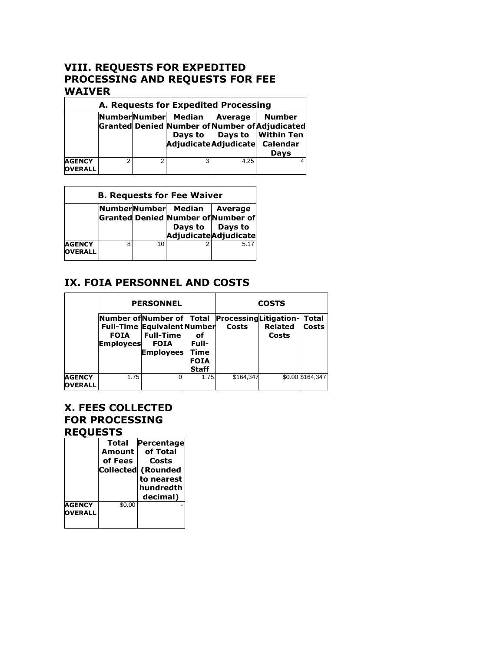#### **VIII. REQUESTS FOR EXPEDITED PROCESSING AND REQUESTS FOR FEE WAIVER**

|                                 | A. Requests for Expedited Processing |   |                                                      |         |                                                                                                                  |  |  |  |  |
|---------------------------------|--------------------------------------|---|------------------------------------------------------|---------|------------------------------------------------------------------------------------------------------------------|--|--|--|--|
|                                 |                                      |   | NumberNumber Median<br>AdjudicateAdjudicate Calendar | Average | <b>Number</b><br>Granted Denied Number of Number of Adjudicated<br>Days to   Days to   Within Ten<br><b>Davs</b> |  |  |  |  |
| <b>AGENCY</b><br><b>OVERALL</b> | ◠                                    | ◠ | 3                                                    | 4.25    |                                                                                                                  |  |  |  |  |

|                                 | <b>B. Requests for Fee Waiver</b> |    |                             |                                                                                  |  |  |  |  |  |
|---------------------------------|-----------------------------------|----|-----------------------------|----------------------------------------------------------------------------------|--|--|--|--|--|
|                                 |                                   |    | NumberNumber Median Average | Granted Denied Number of Number of<br>Days to   Days to<br>Adjudicate Adjudicate |  |  |  |  |  |
| <b>AGENCY</b><br><b>OVERALL</b> | 8                                 | 10 |                             | 5.17                                                                             |  |  |  |  |  |

### **IX. FOIA PERSONNEL AND COSTS**

|                                 |                                                             | <b>PERSONNEL</b>                                                                          | <b>COSTS</b>                                       |                                       |                         |                  |
|---------------------------------|-------------------------------------------------------------|-------------------------------------------------------------------------------------------|----------------------------------------------------|---------------------------------------|-------------------------|------------------|
|                                 | Number ofNumber of Total<br><b>FOIA</b><br><b>Employees</b> | <b>Full-Time Equivalent Number</b><br><b>Full-Time</b><br><b>FOIA</b><br><b>Employees</b> | оf<br>Full-<br>Time<br><b>FOIA</b><br><b>Staff</b> | <b>ProcessingLitigation-</b><br>Costs | <b>Related</b><br>Costs | Total<br>Costs   |
| <b>AGENCY</b><br><b>OVERALL</b> | 1.75                                                        |                                                                                           | 1.75                                               | \$164,347                             |                         | \$0.00 \$164,347 |

#### **X. FEES COLLECTED FOR PROCESSING REQUESTS**

|                                 | Total<br>Amount<br>of Fees<br> Collected | Percentage<br>of Total<br>Costs<br>(Rounded<br>to nearest<br>hundredth<br>decimal) |
|---------------------------------|------------------------------------------|------------------------------------------------------------------------------------|
| <b>AGENCY</b><br><b>OVERALL</b> | \$0.00                                   |                                                                                    |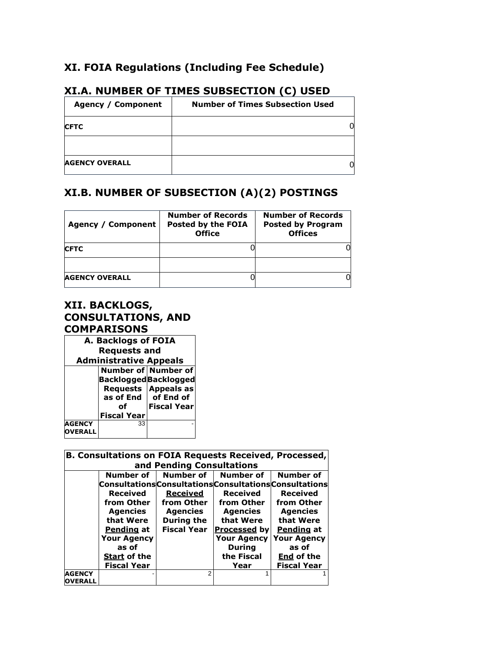### **XI. FOIA Regulations (Including Fee Schedule)**

| Agency / Component    | <b>Number of Times Subsection Used</b> |
|-----------------------|----------------------------------------|
| <b>CFTC</b>           |                                        |
|                       |                                        |
| <b>AGENCY OVERALL</b> |                                        |

#### **XI.A. NUMBER OF TIMES SUBSECTION (C) USED**

#### **XI.B. NUMBER OF SUBSECTION (A)(2) POSTINGS**

| Agency / Component    | <b>Number of Records</b><br>Posted by the FOIA<br><b>Office</b> | <b>Number of Records</b><br><b>Posted by Program</b><br><b>Offices</b> |
|-----------------------|-----------------------------------------------------------------|------------------------------------------------------------------------|
| <b>CFTC</b>           |                                                                 |                                                                        |
|                       |                                                                 |                                                                        |
| <b>AGENCY OVERALL</b> |                                                                 |                                                                        |

#### **XII. BACKLOGS, CONSULTATIONS, AND COMPARISONS**

| A. Backlogs of FOIA |                               |                         |  |  |
|---------------------|-------------------------------|-------------------------|--|--|
|                     | <b>Requests and</b>           |                         |  |  |
|                     | <b>Administrative Appeals</b> |                         |  |  |
|                     |                               | Number of Number of     |  |  |
|                     | <b>Backlogged</b> Backlogged  |                         |  |  |
|                     |                               | Requests Appeals as     |  |  |
|                     |                               | as of $End  $ of End of |  |  |
|                     | Ωf                            | <b>Fiscal Year</b>      |  |  |
|                     | <b>Fiscal Year</b>            |                         |  |  |
| <b>AGENCY</b>       | 33                            |                         |  |  |
| <b>VERALL</b>       |                               |                         |  |  |

|                                 | <b>B. Consultations on FOIA Requests Received, Processed,</b> |                           |                                                         |                    |  |
|---------------------------------|---------------------------------------------------------------|---------------------------|---------------------------------------------------------|--------------------|--|
|                                 |                                                               | and Pending Consultations |                                                         |                    |  |
|                                 | Number of                                                     | Number of                 | <b>Number of</b>                                        | Number of          |  |
|                                 |                                                               |                           | Consultations Consultations Consultations Consultations |                    |  |
|                                 | Received                                                      | Received                  | <b>Received</b>                                         | <b>Received</b>    |  |
|                                 | from Other                                                    | from Other                | from Other                                              | from Other         |  |
|                                 | <b>Agencies</b>                                               | <b>Agencies</b>           | <b>Agencies</b>                                         | <b>Agencies</b>    |  |
|                                 | that Were                                                     | <b>During the</b>         | that Were                                               | that Were          |  |
|                                 | Pending at                                                    | <b>Fiscal Year</b>        | <b>Processed by</b>                                     | Pending at         |  |
|                                 | <b>Your Agency</b>                                            |                           | <b>Your Agency</b>                                      | <b>Your Agency</b> |  |
|                                 | as of                                                         |                           | <b>During</b>                                           | as of              |  |
|                                 | <b>Start of the</b>                                           |                           | the Fiscal                                              | End of the         |  |
|                                 | <b>Fiscal Year</b>                                            |                           | Year                                                    | <b>Fiscal Year</b> |  |
| <b>AGENCY</b><br><b>OVERALL</b> |                                                               | 2                         |                                                         |                    |  |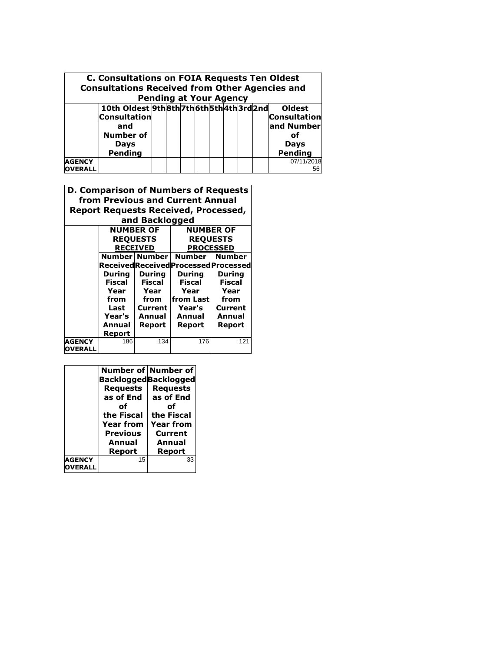|                                 | <b>C. Consultations on FOIA Requests Ten Oldest</b><br><b>Consultations Received from Other Agencies and</b>     | <b>Pending at Your Agency</b> |  |  |  |                                                                                    |
|---------------------------------|------------------------------------------------------------------------------------------------------------------|-------------------------------|--|--|--|------------------------------------------------------------------------------------|
|                                 | 10th Oldest 9th8th7th6th5th4th3rd2nd<br><b>Consultation</b><br>and<br><b>Number of</b><br><b>Days</b><br>Pending |                               |  |  |  | <b>Oldest</b><br><b>Consultation</b><br>and Number<br>Ωf<br><b>Days</b><br>Pending |
| <b>AGENCY</b><br><b>OVERALL</b> |                                                                                                                  |                               |  |  |  | 07/11/2018<br>56                                                                   |

 $\overline{a}$ 

|                | <b>D. Comparison of Numbers of Requests</b><br>from Previous and Current Annual |                  |                                             |                  |  |
|----------------|---------------------------------------------------------------------------------|------------------|---------------------------------------------|------------------|--|
|                |                                                                                 |                  | <b>Report Requests Received, Processed,</b> |                  |  |
|                |                                                                                 | and Backlogged   |                                             |                  |  |
|                |                                                                                 | <b>NUMBER OF</b> |                                             | <b>NUMBER OF</b> |  |
|                |                                                                                 | <b>REQUESTS</b>  |                                             | <b>REQUESTS</b>  |  |
|                |                                                                                 | <b>RECEIVED</b>  | <b>PROCESSED</b>                            |                  |  |
|                |                                                                                 | Number   Number  | Number                                      | <b>Number</b>    |  |
|                |                                                                                 |                  | Received Received Processed Processed       |                  |  |
|                | During                                                                          | During           | During                                      | During           |  |
|                | Fiscal                                                                          | Fiscal           | <b>Fiscal</b>                               | <b>Fiscal</b>    |  |
|                | Year                                                                            | Year             | Year                                        | Year             |  |
|                | from                                                                            | from             | from Last                                   | from             |  |
|                | Last                                                                            | Current          | Year's                                      | Current          |  |
|                | Year's<br>Annual                                                                | Annual           | Annual                                      | Annual           |  |
|                | Report                                                                          | Report           | Report                                      | Report           |  |
| <b>AGENCY</b>  | 186                                                                             | 134              | 176                                         | 121              |  |
| <b>OVERALL</b> |                                                                                 |                  |                                             |                  |  |

|                                 |                                                | Number of Number of |
|---------------------------------|------------------------------------------------|---------------------|
|                                 | <b>BackloggedBacklogged</b><br><b>Requests</b> | <b>Requests</b>     |
|                                 | as of End                                      | as of End           |
|                                 | Ωf                                             | Ωf                  |
|                                 | the Fiscal                                     | the Fiscal          |
|                                 | <b>Year from</b>                               | <b>Year from</b>    |
|                                 | <b>Previous</b>                                | Current             |
|                                 | Annual                                         | Annual              |
|                                 | Report                                         | Report              |
| <b>AGENCY</b><br><b>DVERALL</b> | 15                                             | 33                  |